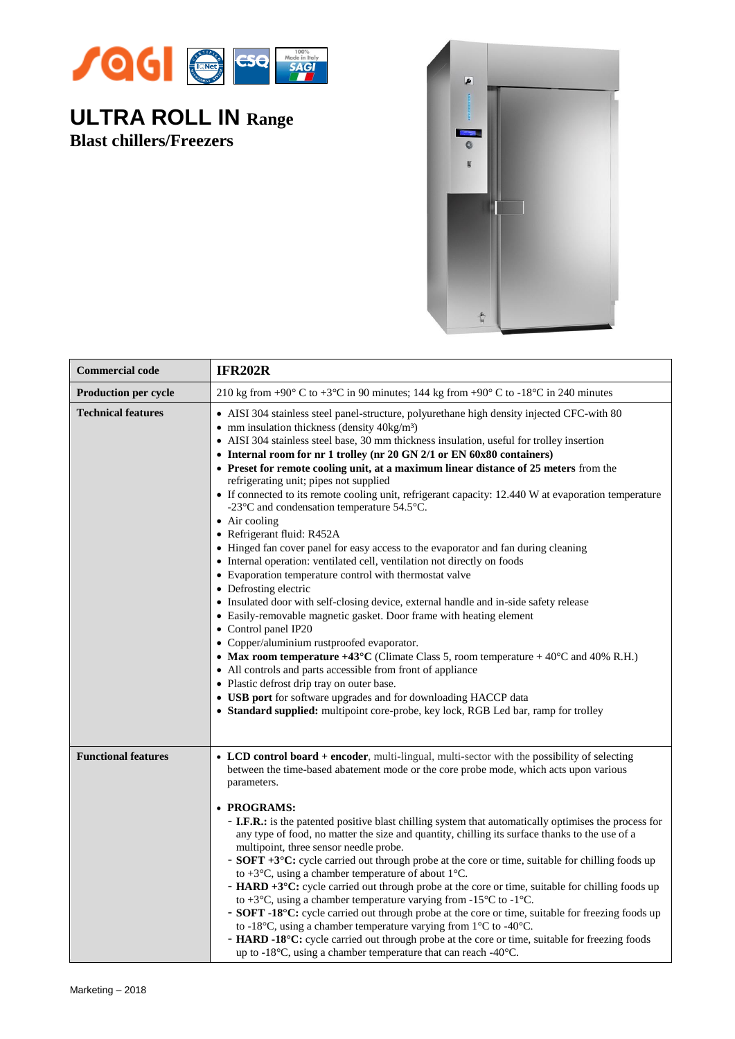

## **ULTRA ROLL IN Range Blast chillers/Freezers**



| <b>Commercial code</b>      | <b>IFR202R</b>                                                                                                                                                                                                                                                                                                                                                                                                                                                                                                                                                                                                                                                                                                                                                                                                                                                                                                                                                                                                                                                                                                                                                                                                                                                                                                                                                                                                                                                                                                                                           |
|-----------------------------|----------------------------------------------------------------------------------------------------------------------------------------------------------------------------------------------------------------------------------------------------------------------------------------------------------------------------------------------------------------------------------------------------------------------------------------------------------------------------------------------------------------------------------------------------------------------------------------------------------------------------------------------------------------------------------------------------------------------------------------------------------------------------------------------------------------------------------------------------------------------------------------------------------------------------------------------------------------------------------------------------------------------------------------------------------------------------------------------------------------------------------------------------------------------------------------------------------------------------------------------------------------------------------------------------------------------------------------------------------------------------------------------------------------------------------------------------------------------------------------------------------------------------------------------------------|
| <b>Production per cycle</b> | 210 kg from +90 $\degree$ C to +3 $\degree$ C in 90 minutes; 144 kg from +90 $\degree$ C to -18 $\degree$ C in 240 minutes                                                                                                                                                                                                                                                                                                                                                                                                                                                                                                                                                                                                                                                                                                                                                                                                                                                                                                                                                                                                                                                                                                                                                                                                                                                                                                                                                                                                                               |
| <b>Technical features</b>   | • AISI 304 stainless steel panel-structure, polyurethane high density injected CFC-with 80<br>• mm insulation thickness (density $40\text{kg/m}^3$ )<br>• AISI 304 stainless steel base, 30 mm thickness insulation, useful for trolley insertion<br>• Internal room for nr 1 trolley (nr 20 GN 2/1 or EN 60x80 containers)<br>• Preset for remote cooling unit, at a maximum linear distance of 25 meters from the<br>refrigerating unit; pipes not supplied<br>• If connected to its remote cooling unit, refrigerant capacity: 12.440 W at evaporation temperature<br>-23°C and condensation temperature 54.5°C.<br>$\bullet$ Air cooling<br>• Refrigerant fluid: R452A<br>• Hinged fan cover panel for easy access to the evaporator and fan during cleaning<br>• Internal operation: ventilated cell, ventilation not directly on foods<br>• Evaporation temperature control with thermostat valve<br>• Defrosting electric<br>• Insulated door with self-closing device, external handle and in-side safety release<br>• Easily-removable magnetic gasket. Door frame with heating element<br>• Control panel IP20<br>• Copper/aluminium rustproofed evaporator.<br>• Max room temperature $+43^{\circ}$ C (Climate Class 5, room temperature $+40^{\circ}$ C and 40% R.H.)<br>• All controls and parts accessible from front of appliance<br>• Plastic defrost drip tray on outer base.<br>• USB port for software upgrades and for downloading HACCP data<br>• Standard supplied: multipoint core-probe, key lock, RGB Led bar, ramp for trolley |
| <b>Functional features</b>  | • LCD control board + encoder, multi-lingual, multi-sector with the possibility of selecting<br>between the time-based abatement mode or the core probe mode, which acts upon various<br>parameters.<br>• PROGRAMS:<br>- I.F.R.: is the patented positive blast chilling system that automatically optimises the process for<br>any type of food, no matter the size and quantity, chilling its surface thanks to the use of a<br>multipoint, three sensor needle probe.<br>- <b>SOFT</b> +3°C: cycle carried out through probe at the core or time, suitable for chilling foods up<br>to +3 $\rm{^{\circ}C}$ , using a chamber temperature of about 1 $\rm{^{\circ}C}$ .<br>- HARD +3°C: cycle carried out through probe at the core or time, suitable for chilling foods up<br>to +3 $\rm{^{\circ}C}$ , using a chamber temperature varying from -15 $\rm{^{\circ}C}$ to -1 $\rm{^{\circ}C}$ .<br>- SOFT -18°C: cycle carried out through probe at the core or time, suitable for freezing foods up<br>to -18°C, using a chamber temperature varying from $1^{\circ}$ C to -40°C.<br>- HARD -18°C: cycle carried out through probe at the core or time, suitable for freezing foods<br>up to -18°C, using a chamber temperature that can reach -40°C.                                                                                                                                                                                                                                                                                                  |